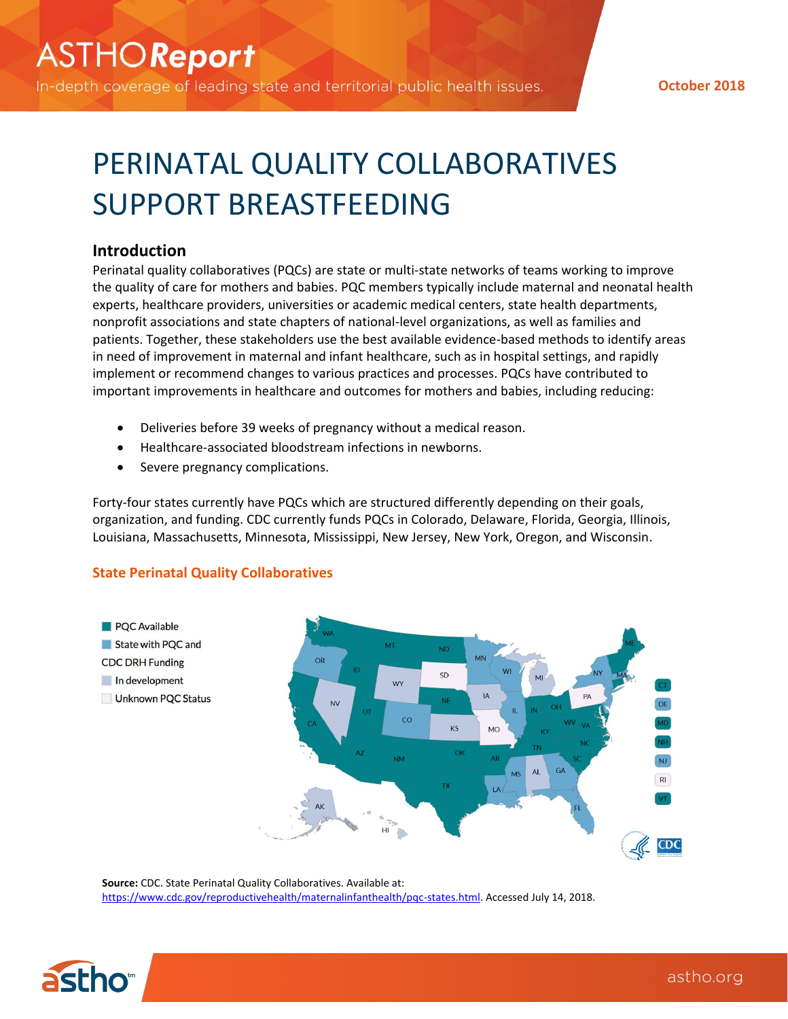In-depth coverage of leading state and territorial public health issues.

**October 2018**

# PERINATAL QUALITY COLLABORATIVES SUPPORT BREASTFEEDING

## **Introduction**

Perinatal quality collaboratives (PQCs) are state or multi-state networks of teams working to improve the quality of care for mothers and babies. PQC members typically include maternal and neonatal health experts, healthcare providers, universities or academic medical centers, state health departments, nonprofit associations and state chapters of national-level organizations, as well as families and patients. Together, these stakeholders use the best available evidence-based methods to identify areas in need of improvement in maternal and infant healthcare, such as in hospital settings, and rapidly implement or recommend changes to various practices and processes. PQCs have contributed to important improvements in healthcare and outcomes for mothers and babies, including reducing:

- Deliveries before 39 weeks of pregnancy without a medical reason.
- Healthcare-associated bloodstream infections in newborns.
- Severe pregnancy complications.

Forty-four states currently have PQCs which are structured differently depending on their goals, organization, and funding. CDC currently funds PQCs in Colorado, Delaware, Florida, Georgia, Illinois, Louisiana, Massachusetts, Minnesota, Mississippi, New Jersey, New York, Oregon, and Wisconsin.

## **State Perinatal Quality Collaboratives**



**Source:** CDC. State Perinatal Quality Collaboratives. Available at: [https://www.cdc.gov/reproductivehealth/maternalinfanthealth/pqc-states.html.](https://www.cdc.gov/reproductivehealth/maternalinfanthealth/pqc-states.html) Accessed July 14, 2018.

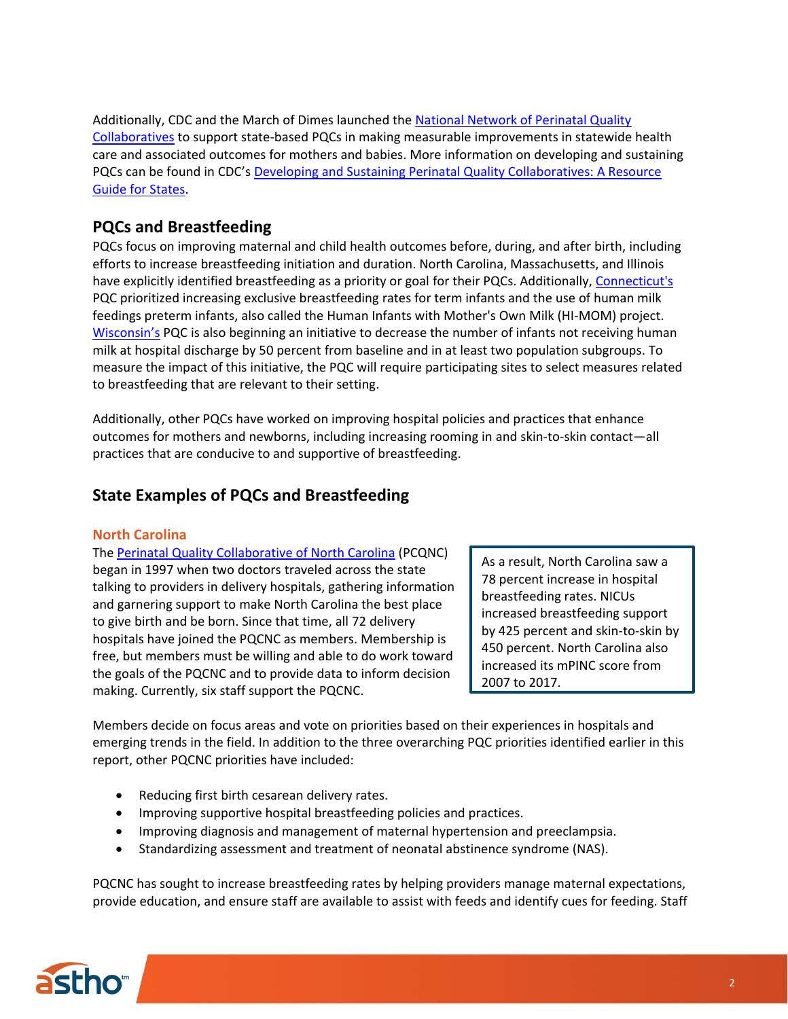Additionally, CDC and the March of Dimes launched the [National Network of Perinatal Quality](https://www.nichq.org/nnpqc/)  [Collaboratives](https://www.nichq.org/nnpqc/) to support state-based PQCs in making measurable improvements in statewide health care and associated outcomes for mothers and babies. More information on developing and sustaining PQCs can be found in CDC's [Developing and Sustaining Perinatal Quality Collaboratives: A Resource](https://www.cdc.gov/reproductivehealth/maternalinfanthealth/pdf/Best-Practices-for-Developing-and-Sustaining-Perinatal-Quality-Collaboratives_tagged508.pdf)  [Guide for States.](https://www.cdc.gov/reproductivehealth/maternalinfanthealth/pdf/Best-Practices-for-Developing-and-Sustaining-Perinatal-Quality-Collaboratives_tagged508.pdf)

# **PQCs and Breastfeeding**

PQCs focus on improving maternal and child health outcomes before, during, and after birth, including efforts to increase breastfeeding initiation and duration. North Carolina, Massachusetts, and Illinois have explicitly identified breastfeeding as a priority or goal for their PQCs. Additionally, [Connecticut's](http://ctpqc.org/secondary.php?title_id=hi-mom) PQC prioritized increasing exclusive breastfeeding rates for term infants and the use of human milk feedings preterm infants, also called the Human Infants with Mother's Own Milk (HI-MOM) project. [Wisconsin's](https://wispqc.org/initiatives/human-milk/) PQC is also beginning an initiative to decrease the number of infants not receiving human milk at hospital discharge by 50 percent from baseline and in at least two population subgroups. To measure the impact of this initiative, the PQC will require participating sites to select measures related to breastfeeding that are relevant to their setting.

Additionally, other PQCs have worked on improving hospital policies and practices that enhance outcomes for mothers and newborns, including increasing rooming in and skin-to-skin contact—all practices that are conducive to and supportive of breastfeeding.

## **State Examples of PQCs and Breastfeeding**

### **North Carolina**

The [Perinatal Quality Collaborative of North Carolina](https://www.pqcnc.org/) (PCQNC) began in 1997 when two doctors traveled across the state talking to providers in delivery hospitals, gathering information and garnering support to make North Carolina the best place to give birth and be born. Since that time, all 72 delivery hospitals have joined the PQCNC as members. Membership is free, but members must be willing and able to do work toward the goals of the PQCNC and to provide data to inform decision making. Currently, six staff support the PQCNC.

As a result, North Carolina saw a 78 percent increase in hospital breastfeeding rates. NICUs increased breastfeeding support by 425 percent and skin-to-skin by 450 percent. North Carolina also increased its mPINC score from 2007 to 2017.

Members decide on focus areas and vote on priorities based on their experiences in hospitals and emerging trends in the field. In addition to the three overarching PQC priorities identified earlier in this report, other PQCNC priorities have included:

- Reducing first birth cesarean delivery rates.
- Improving supportive hospital breastfeeding policies and practices.
- Improving diagnosis and management of maternal hypertension and preeclampsia.
- Standardizing assessment and treatment of neonatal abstinence syndrome (NAS).

PQCNC has sought to increase breastfeeding rates by helping providers manage maternal expectations, provide education, and ensure staff are available to assist with feeds and identify cues for feeding. Staff

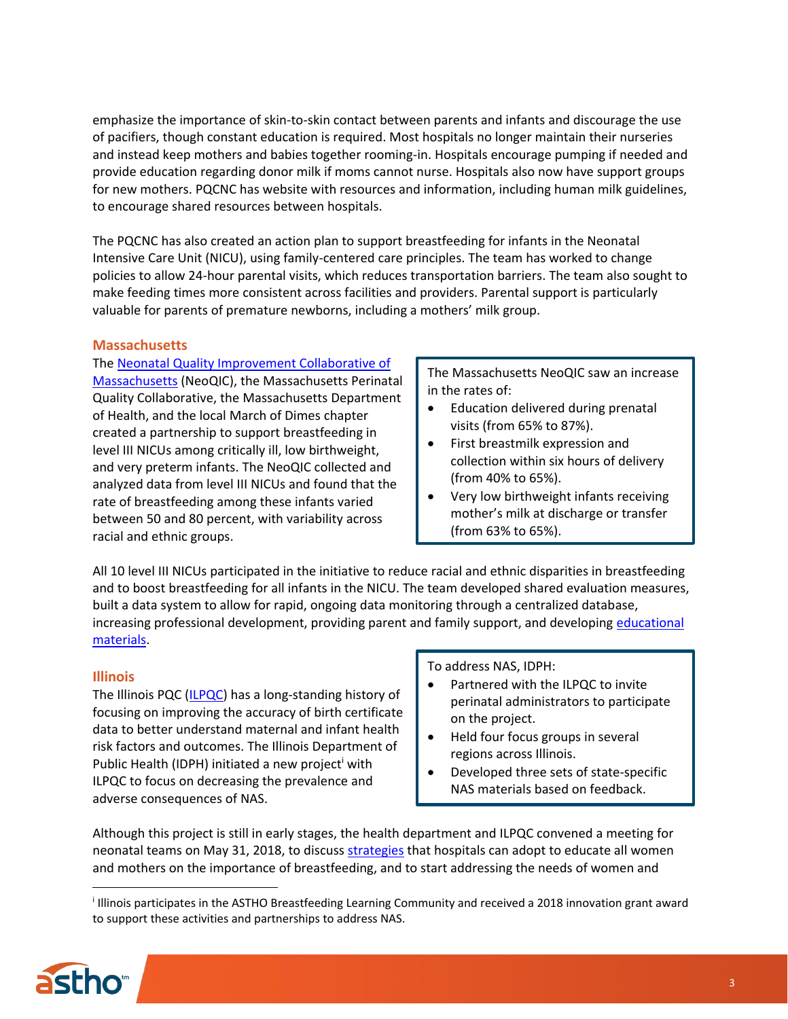emphasize the importance of skin-to-skin contact between parents and infants and discourage the use of pacifiers, though constant education is required. Most hospitals no longer maintain their nurseries and instead keep mothers and babies together rooming-in. Hospitals encourage pumping if needed and provide education regarding donor milk if moms cannot nurse. Hospitals also now have support groups for new mothers. PQCNC has website with resources and information, including human milk guidelines, to encourage shared resources between hospitals.

The PQCNC has also created an action plan to support breastfeeding for infants in the Neonatal Intensive Care Unit (NICU), using family-centered care principles. The team has worked to change policies to allow 24-hour parental visits, which reduces transportation barriers. The team also sought to make feeding times more consistent across facilities and providers. Parental support is particularly valuable for parents of premature newborns, including a mothers' milk group.

### **Massachusetts**

#### The [Neonatal Quality Improvement Collaborative of](http://www.neoqic.org/)

[Massachusetts](http://www.neoqic.org/) (NeoQIC), the Massachusetts Perinatal Quality Collaborative, the Massachusetts Department of Health, and the local March of Dimes chapter created a partnership to support breastfeeding in level III NICUs among critically ill, low birthweight, and very preterm infants. The NeoQIC collected and analyzed data from level III NICUs and found that the rate of breastfeeding among these infants varied between 50 and 80 percent, with variability across racial and ethnic groups.

The Massachusetts NeoQIC saw an increase in the rates of:

- Education delivered during prenatal visits (from 65% to 87%).
- First breastmilk expression and collection within six hours of delivery (from 40% to 65%).
- Very low birthweight infants receiving mother's milk at discharge or transfer (from 63% to 65%).

All 10 level III NICUs participated in the initiative to reduce racial and ethnic disparities in breastfeeding and to boost breastfeeding for all infants in the NICU. The team developed shared evaluation measures, built a data system to allow for rapid, ongoing data monitoring through a centralized database, increasing professional development, providing parent and family support, and developing educational [materials.](http://www.neoqic.org/humanmilk/human-milk-educational-materials)

### **Illinois**

The Illinois PQC [\(ILPQC\)](http://www.ilpqc.org/) has a long-standing history of focusing on improving the accuracy of birth certificate data to better understand maternal and infant health risk factors and outcomes. The Illinois Department of Public Health (IDPH) initiated a new project with ILPQC to focus on decreasing the prevalence and adverse consequences of NAS.

#### To address NAS, IDPH:

- Partnered with the ILPQC to invite perinatal administrators to participate on the project.
- Held four focus groups in several regions across Illinois.
- Developed three sets of state-specific NAS materials based on feedback.

Although this project is still in early stages, the health department and ILPQC convened a meeting for neonatal teams on May 31, 2018, to discuss [strategies](http://ilpqc.org/?q=node/115) that hospitals can adopt to educate all women and mothers on the importance of breastfeeding, and to start addressing the needs of women and

i Illinois participates in the ASTHO Breastfeeding Learning Community and received a 2018 innovation grant award to support these activities and partnerships to address NAS.



 $\overline{a}$